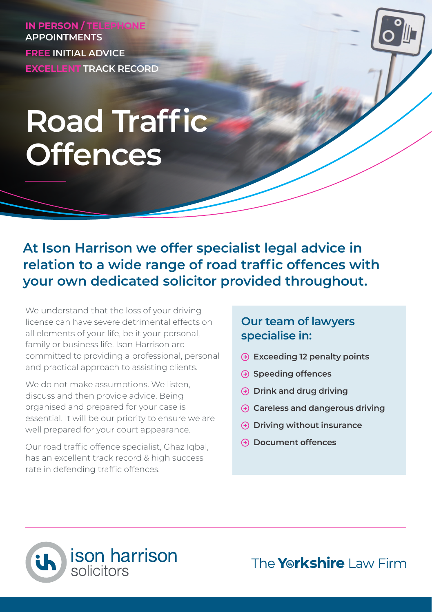**IN PERSON / TELEPHO APPOINTMENTS FREE INITIAL ADVICE EXCELLENT TRACK RECORD**

# **Road Traffic Offences**

**At Ison Harrison we offer specialist legal advice in relation to a wide range of road traffic offences with your own dedicated solicitor provided throughout.**

We understand that the loss of your driving license can have severe detrimental effects on all elements of your life, be it your personal, family or business life. Ison Harrison are committed to providing a professional, personal and practical approach to assisting clients.

We do not make assumptions. We listen, discuss and then provide advice. Being organised and prepared for your case is essential. It will be our priority to ensure we are well prepared for your court appearance.

Our road traffic offence specialist, Ghaz Iqbal, has an excellent track record & high success rate in defending traffic offences.

### **Our team of lawyers specialise in:**

- **Exceeding 12 penalty points**
- **Speeding offences**
- **Drink and drug driving**
- **Careless and dangerous driving**
- **Driving without insurance**
- **Document offences**



The **Yorkshire** Law Firm